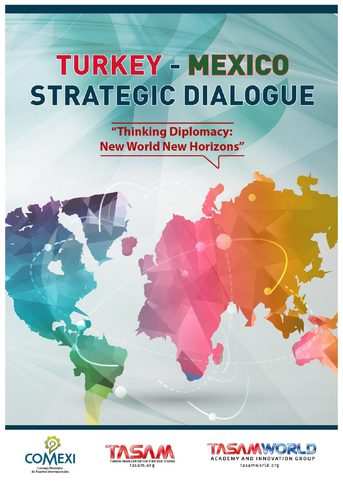"Thinking Diplomacy: **New World New Horizons"** 





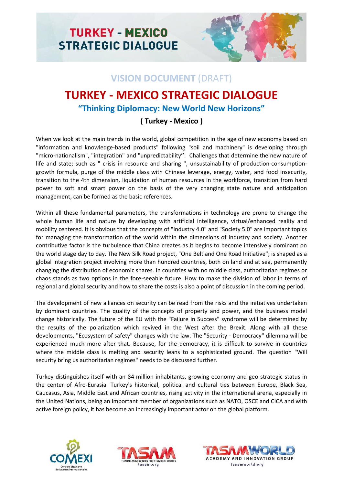

#### **VISION DOCUMENT** (DRAFT)

## **TURKEY - MEXICO STRATEGIC DIALOGUE**

#### **"Thinking Diplomacy: New World New Horizons"**

#### **( Turkey - Mexico )**

When we look at the main trends in the world, global competition in the age of new economy based on "information and knowledge-based products" following "soil and machinery" is developing through "micro-nationalism", "integration" and "unpredictability''. Challenges that determine the new nature of life and state; such as " crisis in resource and sharing ", unsustainability of production-consumptiongrowth formula, purge of the middle class with Chinese leverage, energy, water, and food insecurity, transition to the 4th dimension, liquidation of human resources in the workforce, transition from hard power to soft and smart power on the basis of the very changing state nature and anticipation management, can be formed as the basic references.

Within all these fundamental parameters, the transformations in technology are prone to change the whole human life and nature by developing with artificial intelligence, virtual/enhanced reality and mobility centered. It is obvious that the concepts of "Industry 4.0" and "Society 5.0" are important topics for managing the transformation of the world within the dimensions of industry and society. Another contributive factor is the turbulence that China creates as it begins to become intensively dominant on the world stage day to day. The New Silk Road project, "One Belt and One Road Initiative"; is shaped as a global integration project involving more than hundred countries, both on land and at sea, permanently changing the distribution of economic shares. In countries with no middle class, authoritarian regimes or chaos stands as two options in the fore-seeable future. How to make the division of labor in terms of regional and global security and how to share the costs is also a point of discussion in the coming period.

The development of new alliances on security can be read from the risks and the initiatives undertaken by dominant countries. The quality of the concepts of property and power, and the business model change historically. The future of the EU with the "Failure in Success" syndrome will be determined by the results of the polarization which revived in the West after the Brexit. Along with all these developments, "Ecosystem of safety" changes with the law. The "Security - Democracy" dilemma will be experienced much more after that. Because, for the democracy, it is difficult to survive in countries where the middle class is melting and security leans to a sophisticated ground. The question "Will security bring us authoritarian regimes" needs to be discussed further.

Turkey distinguishes itself with an 84-million inhabitants, growing economy and geo-strategic status in the center of Afro-Eurasia. Turkey's historical, political and cultural ties between Europe, Black Sea, Caucasus, Asia, Middle East and African countries, rising activity in the international arena, especially in the United Nations, being an important member of organizations such as NATO, OSCE and CICA and with active foreign policy, it has become an increasingly important actor on the global platform.





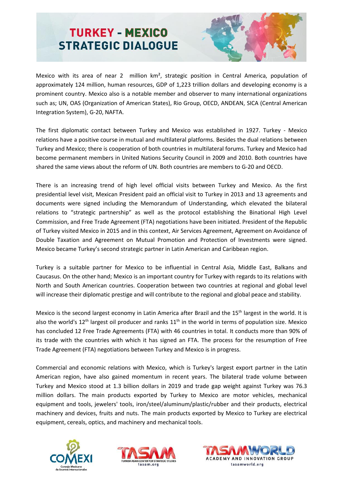

Mexico with its area of near 2 million km², strategic position in Central America, population of approximately 124 million, human resources, GDP of 1,223 trillion dollars and developing economy is a prominent country. Mexico also is a notable member and observer to many international organizations such as; UN, OAS (Organization of American States), Rio Group, OECD, ANDEAN, SICA (Central American Integration System), G-20, NAFTA.

The first diplomatic contact between Turkey and Mexico was established in 1927. Turkey - Mexico relations have a positive course in mutual and multilateral platforms. Besides the dual relations between Turkey and Mexico; there is cooperation of both countries in multilateral forums. Turkey and Mexico had become permanent members in United Nations Security Council in 2009 and 2010. Both countries have shared the same views about the reform of UN. Both countries are members to G-20 and OECD.

There is an increasing trend of high level official visits between Turkey and Mexico. As the first presidential level visit, Mexican President paid an official visit to Turkey in 2013 and 13 agreements and documents were signed including the Memorandum of Understanding, which elevated the bilateral relations to "strategic partnership" as well as the protocol establishing the Binational High Level Commission, and Free Trade Agreement (FTA) negotiations have been initiated. President of the Republic of Turkey visited Mexico in 2015 and in this context, Air Services Agreement, Agreement on Avoidance of Double Taxation and Agreement on Mutual Promotion and Protection of Investments were signed. Mexico became Turkey's second strategic partner in Latin American and Caribbean region.

Turkey is a suitable partner for Mexico to be influential in Central Asia, Middle East, Balkans and Caucasus. On the other hand; Mexico is an important country for Turkey with regards to its relations with North and South American countries. Cooperation between two countries at regional and global level will increase their diplomatic prestige and will contribute to the regional and global peace and stability.

Mexico is the second largest economy in Latin America after Brazil and the 15<sup>th</sup> largest in the world. It is also the world's  $12<sup>th</sup>$  largest oil producer and ranks  $11<sup>th</sup>$  in the world in terms of population size. Mexico has concluded 12 Free Trade Agreements (FTA) with 46 countries in total. It conducts more than 90% of its trade with the countries with which it has signed an FTA. The process for the resumption of Free Trade Agreement (FTA) negotiations between Turkey and Mexico is in progress.

Commercial and economic relations with Mexico, which is Turkey's largest export partner in the Latin American region, have also gained momentum in recent years. The bilateral trade volume between Turkey and Mexico stood at 1.3 billion dollars in 2019 and trade gap weight against Turkey was 76.3 million dollars. The main products exported by Turkey to Mexico are motor vehicles, mechanical equipment and tools, jewelers' tools, iron/steel/aluminum/plastic/rubber and their products, electrical machinery and devices, fruits and nuts. The main products exported by Mexico to Turkey are electrical equipment, cereals, optics, and machinery and mechanical tools.





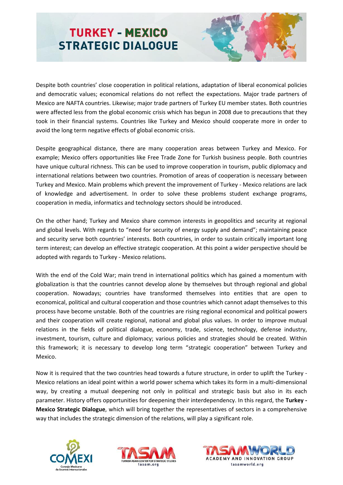

Despite both countries' close cooperation in political relations, adaptation of liberal economical policies and democratic values; economical relations do not reflect the expectations. Major trade partners of Mexico are NAFTA countries. Likewise; major trade partners of Turkey EU member states. Both countries were affected less from the global economic crisis which has begun in 2008 due to precautions that they took in their financial systems. Countries like Turkey and Mexico should cooperate more in order to avoid the long term negative effects of global economic crisis.

Despite geographical distance, there are many cooperation areas between Turkey and Mexico. For example; Mexico offers opportunities like Free Trade Zone for Turkish business people. Both countries have unique cultural richness. This can be used to improve cooperation in tourism, public diplomacy and international relations between two countries. Promotion of areas of cooperation is necessary between Turkey and Mexico. Main problems which prevent the improvement of Turkey - Mexico relations are lack of knowledge and advertisement. In order to solve these problems student exchange programs, cooperation in media, informatics and technology sectors should be introduced.

On the other hand; Turkey and Mexico share common interests in geopolitics and security at regional and global levels. With regards to "need for security of energy supply and demand"; maintaining peace and security serve both countries' interests. Both countries, in order to sustain critically important long term interest; can develop an effective strategic cooperation. At this point a wider perspective should be adopted with regards to Turkey - Mexico relations.

With the end of the Cold War; main trend in international politics which has gained a momentum with globalization is that the countries cannot develop alone by themselves but through regional and global cooperation. Nowadays; countries have transformed themselves into entities that are open to economical, political and cultural cooperation and those countries which cannot adapt themselves to this process have become unstable. Both of the countries are rising regional economical and political powers and their cooperation will create regional, national and global plus values. In order to improve mutual relations in the fields of political dialogue, economy, trade, science, technology, defense industry, investment, tourism, culture and diplomacy; various policies and strategies should be created. Within this framework; it is necessary to develop long term "strategic cooperation" between Turkey and Mexico.

Now it is required that the two countries head towards a future structure, in order to uplift the Turkey - Mexico relations an ideal point within a world power schema which takes its form in a multi-dimensional way, by creating a mutual deepening not only in political and strategic basis but also in its each parameter. History offers opportunities for deepening their interdependency. In this regard, the **Turkey - Mexico Strategic Dialogue**, which will bring together the representatives of sectors in a comprehensive way that includes the strategic dimension of the relations, will play a significant role.





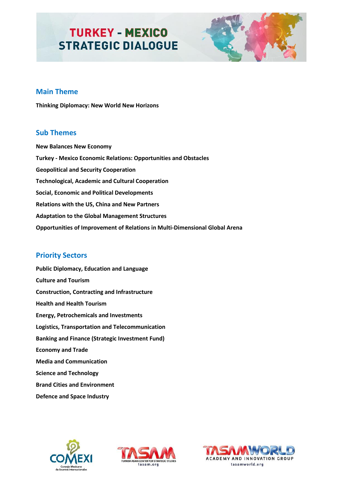

#### **Main Theme**

**Thinking Diplomacy: New World New Horizons**

#### **Sub Themes**

**New Balances New Economy Turkey - Mexico Economic Relations: Opportunities and Obstacles Geopolitical and Security Cooperation Technological, Academic and Cultural Cooperation Social, Economic and Political Developments Relations with the US, China and New Partners Adaptation to the Global Management Structures Opportunities of Improvement of Relations in Multi-Dimensional Global Arena** 

#### **Priority Sectors**

**Public Diplomacy, Education and Language Culture and Tourism Construction, Contracting and Infrastructure Health and Health Tourism Energy, Petrochemicals and Investments Logistics, Transportation and Telecommunication Banking and Finance (Strategic Investment Fund) Economy and Trade Media and Communication Science and Technology Brand Cities and Environment Defence and Space Industry**